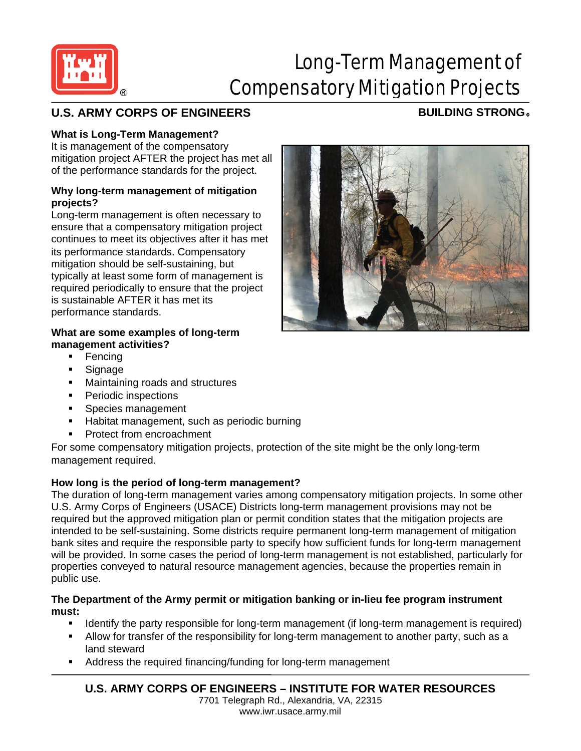

# Long-Term Management of Compensatory Mitigation Projects

# **U.S. ARMY CORPS OF ENGINEERS BUILDING STRONG** ®

## **What is Long-Term Management?**

It is management of the compensatory mitigation project AFTER the project has met all of the performance standards for the project.

#### **Why long-term management of mitigation projects?**

Long-term management is often necessary to ensure that a compensatory mitigation project continues to meet its objectives after it has met its performance standards. Compensatory mitigation should be self-sustaining, but typically at least some form of management is required periodically to ensure that the project is sustainable AFTER it has met its performance standards.

#### **What are some examples of long-term management activities?**

- Fencing
- **Signage**
- **Maintaining roads and structures**
- **•** Periodic inspections
- **Species management**
- Habitat management, such as periodic burning
- Protect from encroachment

For some compensatory mitigation projects, protection of the site might be the only long-term management required.

### **How long is the period of long-term management?**

The duration of long-term management varies among compensatory mitigation projects. In some other U.S. Army Corps of Engineers (USACE) Districts long-term management provisions may not be required but the approved mitigation plan or permit condition states that the mitigation projects are intended to be self-sustaining. Some districts require permanent long-term management of mitigation bank sites and require the responsible party to specify how sufficient funds for long-term management will be provided. In some cases the period of long-term management is not established, particularly for properties conveyed to natural resource management agencies, because the properties remain in public use.

#### **The Department of the Army permit or mitigation banking or in-lieu fee program instrument must:**

- **If all identify the party responsible for long-term management (if long-term management is required)** • Allow for transfer of the responsibility for long-term management to another party, such as a land steward
- Address the required financing/funding for long-term management